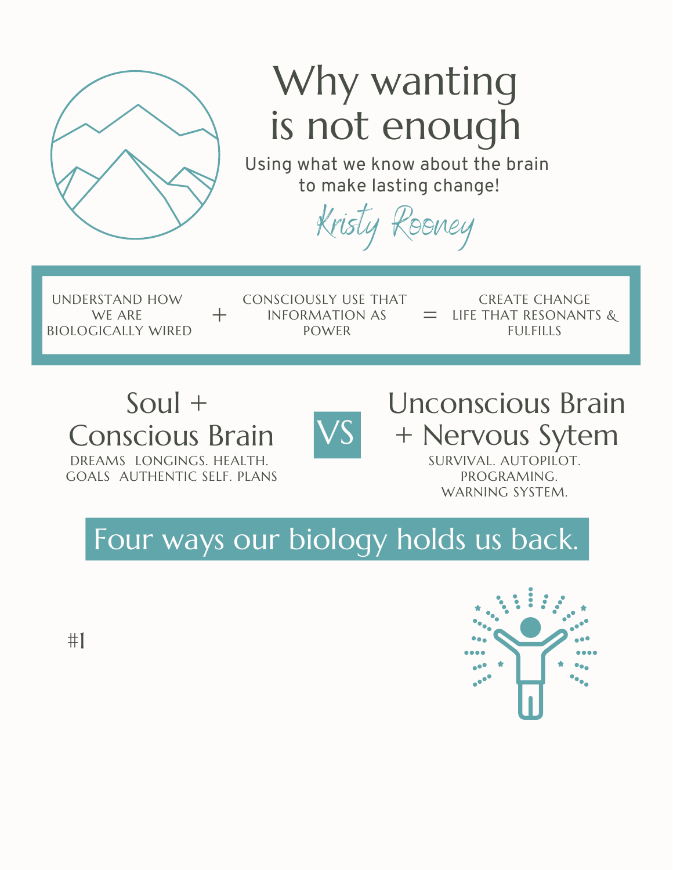

## Why wanting is not enough

Using what we know about the brain to make lasting change!

Kristy Rooney

UNDERSTAND HOW WE ARE BIOLOGICALLY WIRED

CONSCIOUSLY USE THAT  $+$  INFORMATION AS = LIFE TH POWER

CREATE CHANGE LIFE THAT RESONANTS & **FULFILLS** 

## Soul + Conscious Brain VS



Unconscious Brain + Nervous Sytem

DREAMS LONGINGS. HEALTH. GOALS AUTHENTIC SELF. PLANS SURVIVAL. AUTOPILOT. PROGRAMING. WARNING SYSTEM.

Four ways our biology holds us back.



#1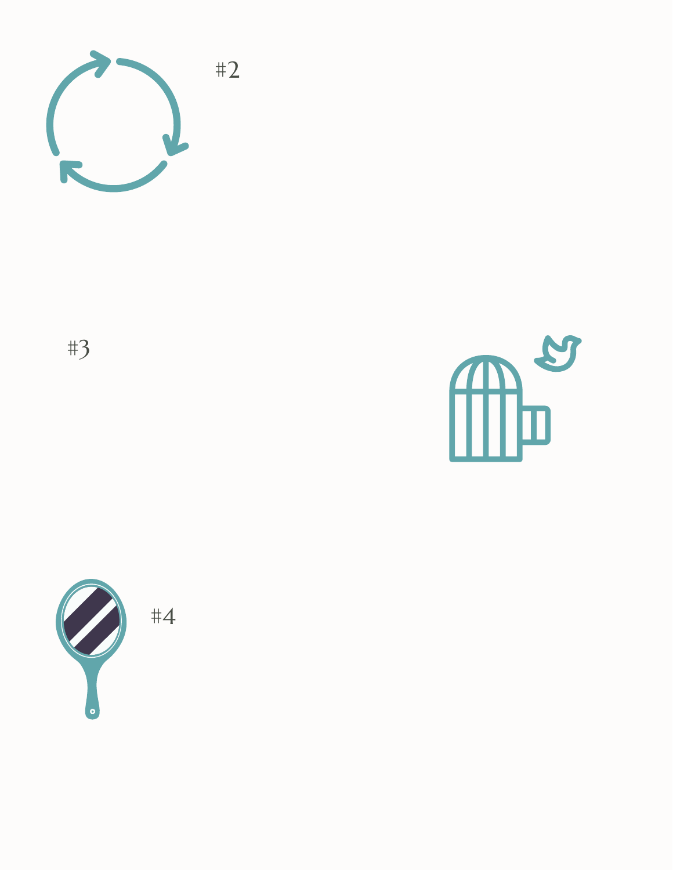

#3

**MPa** 

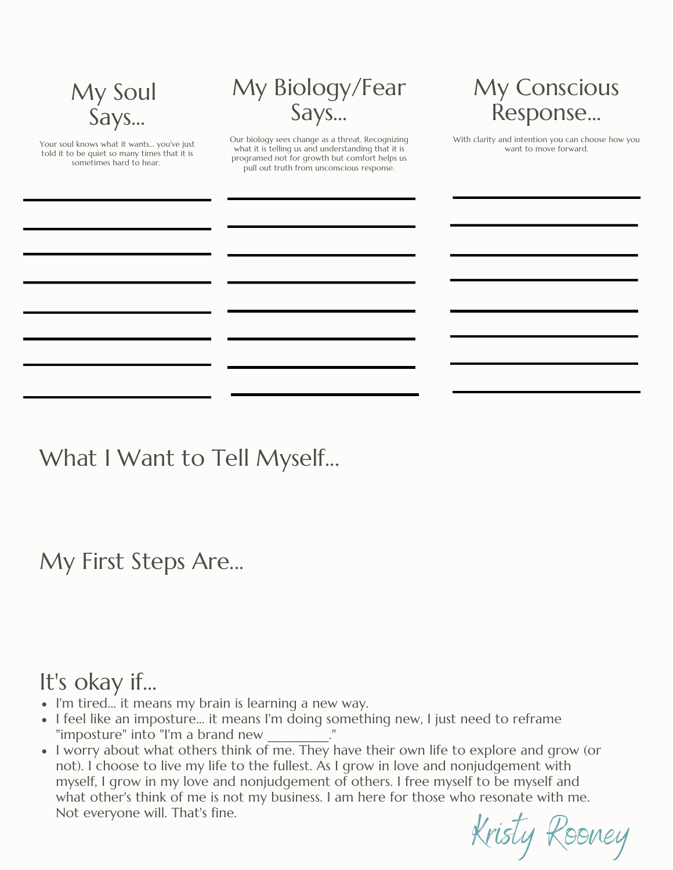| My Soul<br>Says                                                                                                      | My Biology/Fear<br>Says                                                                                                                                                                              | My Conscious<br>Response                                                   |
|----------------------------------------------------------------------------------------------------------------------|------------------------------------------------------------------------------------------------------------------------------------------------------------------------------------------------------|----------------------------------------------------------------------------|
| Your soul knows what it wants you've just<br>told it to be quiet so many times that it is<br>sometimes hard to hear. | Our biology sees change as a threat. Recognizing<br>what it is telling us and understanding that it is<br>programed not for growth but comfort helps us<br>pull out truth from unconscious response. | With clarity and intention you can choose how you<br>want to move forward. |
|                                                                                                                      |                                                                                                                                                                                                      |                                                                            |

What I Want to Tell Myself...

My First Steps Are...

## It's okay if...

- I'm tired... it means my brain is learning a new way.
- I feel like an imposture... it means I'm doing something new, I just need to reframe "imposture" into "I'm a brand new \_\_\_\_\_\_\_\_\_."
- $\bullet$  I worry about what others think of me. They have their own life to explore and grow (or not). I choose to live my life to the fullest. As I grow in love and nonjudgement with myself, I grow in my love and nonjudgement of others. I free myself to be myself and what other's think of me is not my business. I am here for those who resonate with me. Not everyone will. That's fine.

Kristy Rooney